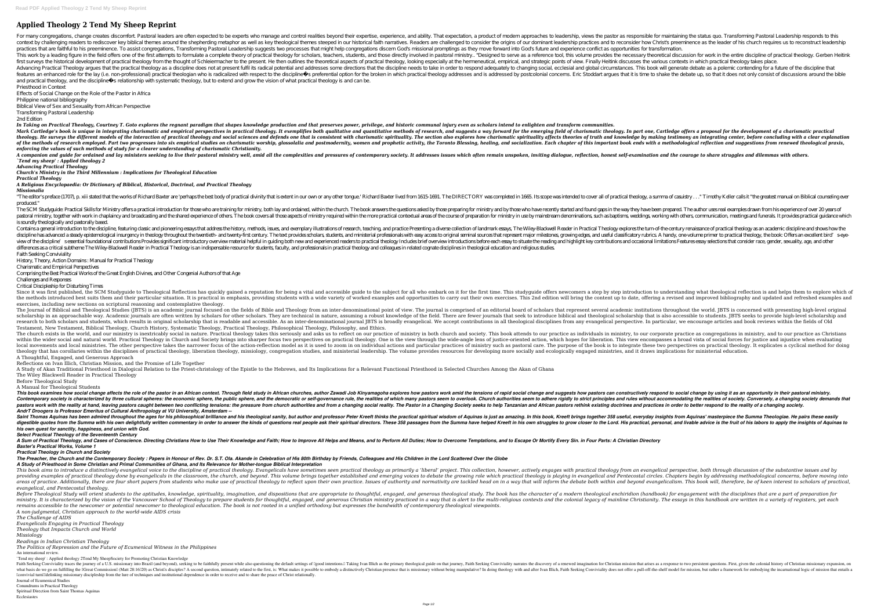## **Applied Theology 2 Tend My Sheep Reprint**

For many congregations, change creates discomfort Pastoral leaders are often expected to be experts who manage and control realities beyond their expertise, experience, and ability. That expert as responsible for maintaini context by challenging readers to rediscover key biblical themes around the shepherding metaphor as well as key theological themes steeped in our historical faith narratives. Readers and to reconsider how Christ's preemine practices that are faithful to his preeminence. To assist congregations, Transforming Pastoral Leadership suggests two processes that might help congregations discern God's missional promptings as they move forward into Go This work by a leading figure in the field offers one of the first attempts to formulate a complete theory of practical theology for scholars, teachers, students, and those directly involved in pastoral ministry.. "Designe first surveys the historical development of practical theology from the thought of Schleiermacher to the present. He then outlines the theoretical aspects of practical theology, looking especially at the hermeneutical, and Advancing Practical Theology argues that the practical theology as a discipline does not at present fulfil its radical potential and addresses some directions that the discipline needs to take in order to respond adequatel features an enhanced role for the lay (i.e. non-professional) practical theologian who is radicalized with respect to the discipline s preferential option for the broken in which practical theology addresses and is address and practical theology, and the discipline s relationship with systematic theology, but to extend and grow the vision of what practical theology is and can be. Priesthood in Context

In Taking on Practical Theology, Courtney T. Goto explores the regnant paradigm that shapes knowledge production and that preserves power, privilege, and historic communal injury even as scholars intend to enlighten and tr Mark Cartledge's book is unique in integrating charismatic and empirical perspectives in practical theology. It exemplifies both qualitative and quantitative methods of research, and suggests a way forward for the emerging theology. He surveys the different models of the interaction of practical theology and social sciences and defends one that is consistent with charismatic spirituality, The section also explores of truth and knowledge by m of the methods of research employed. Part two progresses into six empirical studies on charismatic worship, glossolalia and postmodernity, women and prophetic activity, the Toronto Blessing, healing, and socialization. Eac *enforcing the values of such methods of study for a clearer understanding of charismatic Christianity.*

A companion and quide for ordained and lay ministers seeking to live their pastoral ministry well, amid all the complexities and pressures of contemporary society. It addresses issues which often remain unspoken, inviting *`Tend my sheep' : Applied theology 2*

"The editor's preface (1707), p. xiii stated that the works of Richard Baxter are 'perhaps the best body of practical divinity that is extent in our own or any other tongue.' Richard Baxter lived from 1615-1691. The DIRECT produced."

Effects of Social Change on the Role of the Pastor in Africa

Philippine national bibliography

Biblical View of Sex and Sexuality from African Perspective

Transforming Pastoral Leadership 2nd Edition

The SCM Studyguide: Practical Skills for Ministry offers a practical introduction for those who are training for ministry, both lay and ordained, within the church. The book answers the questions asked by those preparing f pastoral ministry, together with work in chaplaincy and broadcasting and the shared experience of others. The book covers all those aspects of ministry in use by mainstream denominations, such as baptisms, weddings, workin is soundly theologically and pastorally based.

Contains a general introduction to the discipline, featuring classic and pioneering essays that address the history, methods, issues, and exemplary illustrations of research, teaching, and practical Theology explores the t discipline has advanced a steady epistemological insurgency in theology throughout the twentieth- and twenty-first century. The text provides scholars, students, and unful sources that represent major milestones, growing e view of the discipline' sessential foundational contributions Provides significant introductory overview material helpful in guiding both new and experienced reading and highlight key contributions and occasional limitatio differences as a critical subtherne The Wiley-Blackwell Reader in Practical Theology is an indispensable resource for students, faculty, and professionals in practical theology and colleagues in related cognate disciplines Faith Seeking Conviviality

Since it was first published, the SCM Studyguide to Theological Reflection has quickly gained a reputation for being a vital and accessible guide to the subject for all who embark on it for the first time. This studyguide the methods introduced best suits them and their particular situation. It is practical in emphasis, providing students with a wide variety of worked examples and opportunities to carry out their own exercises. This 2nd edi exercises, including new sections on scriptural reasoning and contemplative theology.

*Advancing Practical Theology*

*Church's Ministry in the Third Millennium : Implications for Theological Education*

*Practical Theology*

*A Religious Encyclopaedia: Or Dictionary of Biblical, Historical, Doctrinal, and Practical Theology Missionalia*

The Journal of Biblical and Theological Studies (IBTS) is an academic journal focused on the fields of Bible and Theology from an inter-denominational point of view. The journal is comprised of an editorial board of schola scholarship in an approachable way. Academic journals are often written by scholars for other scholars for other scholars. They are technical in nature, assuming a robust knowledge of the field. There are fewer journals th research to both scholars and students, which results in original scholarship that is readable and accessible. As an inter-denominational journal JBTS is broadly evangelical perspective. In particular, we encourage article Testament, New Testament, Biblical Theology, Church History, Systematic Theology, Practical Theology, Philosophical Theology, Philosophy, and Ethics. The church exists in the world, and our ministry is inextricably social in nature. Practical theology takes this seriously and asks us to reflect on our practice as individuals in ministry, to our corporate practice as con within the wider social and natural world. Practical Theology in Church and Society brings into sharper focus two perspectives on practical theology. One is the vide-angle lens of justice-oriented action, which hopes for l local movements and local ministries. The other perspective takes the narrower focus of the action-reflection model as it is used to zoom in on individual actions and particular practices of ministry such as pastoral care. theology that has corollaries within the disciplines of practical theology, liberation theology, missiology, missiology, congregation studies, and ministerial leadership. The volume provides resources for developing more s A Thoughtful, Engaged, and Generous Approach

This book examines how social change affects the role of the pastor in an African context. Through field study in African churches, author Zawadi Job Kinyamagoha explores how pastors can constructively respond to social ch Contemporary society is characterized by three cultural spheres: the economic sphere, the public sphere, the public sphere, and the democratic or self-governance rule, the realities and rules without accommodating the real pastors work with the reality at hand, leaving pastors caught between two conflicting tensions: the pressure from church authorities and from a changing social reality. The Pastor in a Changing society seeks to help Tanzan *AndrT Droogers is Professor Emeritus of Cultural Anthropology at VU University, Amsterdam --*

Saint Thomas Aquinas has been admired throughout the ages for his philosophical brilliance and his theological sanity, but author and professor Peter Kreeft thinks the practical spiritual wisdom of Aquinas is just as amazi digestible quotes from the Summa with his own delightfully written commentary in order to answer the kinds of questions real people ask their spiritual directors. These 358 passages from the Summa have helped Kreeft in his *his own quest for sanctity, happiness, and union with God.*

A Sum of Practical Theology, and Cases of Conscience. Directing Christians How to Use Their Knowledge and Faith; How to Improve All Helps and Means, and to Overcome Temptations, and to Escape Or Mortify Every Sin. in Four *Baxter's Practical Works, Volume 1*

*The Preacher, the Church and the Contemporary Society : Papers in Honour of Rev. Dr. S.T. Ola. Akande in Celebration of His 80th Birthday by Friends, Colleagues and His Children in the Lord Scattered Over the Globe A Study of Priesthood in Some Christian and Primal Communities of Ghana, and Its Relevance for Mother-tongue Biblical Interpretation* This book aims to introduce a distinctively evangelical voice to the discipline of practical theology. Evangelicals have sometimes seen practical theology as primarily a 'liberal' project. This collection, however, activel providing examples of practical theology done by evangelicals in the classroom, the church, and beyond. This volume brings together established and Pentecostal circles. Chapters begin by addressing methodological concerns, areas of practice. Additionally, there are four short papers from students who make use of practical theology to reflect upon their own practice. Issues of authority are tackled head on in a way that will inform the debate

History, Theory, Action Domains : Manual for Practical Theology

Charismatic and Empirical Perspectives

Comprising the Best Practical Works of the Great English Divines, and Other Congenial Authors of that Age

Challenges and Responses

Critical Discipleship for Disturbing Times

Before Theological Study will orient students to the aptitudes, knowledge, spirituality, imagination, and dispositions that are appropriate to thoughtful, engaged, and generous theological enchiridion (handbook) for engage ergaged, and generous Christon of the Vancouver School of Theology to prepare students for thoughtful, engaged, and generous Christian ministry practiced in a way that is alert to the multi-religious contexts and denerous *remains accessible to the newcomer or potential newcomer to theological education. The book is not rooted in a unified orthodoxy but expresses the bandwidth of contemporary theological viewpoints. A non-judgmental, Christian approach to the world-wide AIDS crisis*

Reflections on Ivan Illich, Christian Mission, and the Promise of Life Together

A Study of Akan Traditional Priesthood in Dialogical Relation to the Priest-christology of the Epistle to the Hebrews, and Its Implications for a Relevant Functional Priesthood in Selected Churches Among the Akan of Ghana The Wiley Blackwell Reader in Practical Theology

Before Theological Study

A Manual for Theological Students

*Select Practical Theology of the Seventeenth Century*

*Practical Theology in Church and Society*

*evangelical, and Pentecostal theology.*

*The Challenge of AIDS Evangelicals Engaging in Practical Theology*

*Theology that Impacts Church and World*

*Missiology*

*Readings in Indian Christian Theology*

*The Politics of Repression and the Future of Ecumenical Witness in the Philippines* An international review.

`Tend my sheep' : Applied theology 2Tend My SheepSociety for Promoting Christian Knowledge

Faith Seeking Conviviality traces the journey of a U.S. missionary into Brazil (and beyond), seeking to be faithfully present while also questioning the default settings of Igood intentions. I Taking Ivan Illich as the pri what basis do we go on fulfilling the IGreat Commission (Matt 28:16I20) as ChristIls disciples? A second question, intimately related to the first, is: What makes it possible to embody a distinctively Christian presence th Iconvivial turnIIIdelinking missionary discipleship from the lure of techniques and institutional dependence in order to receive and to share the peace of Christ relationally.

Journal of Ecumenical Studies Conundrums in Practical Theology

Spiritual Direction from Saint Thomas Aquinas

Ecclesiastes